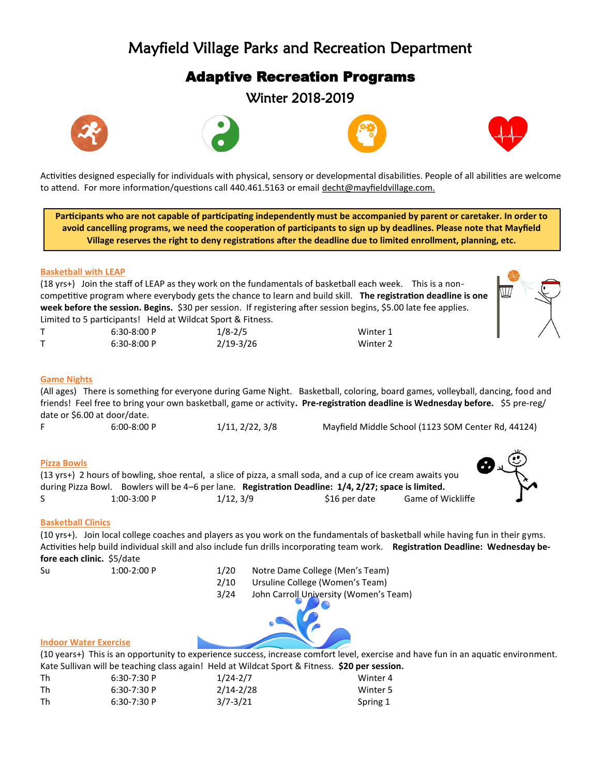# Mayfield Village Parks and Recreation Department

# Adaptive Recreation Programs

Winter 2018-2019









Activities designed especially for individuals with physical, sensory or developmental disabilities. People of all abilities are welcome to attend. For more information/questions call 440.461.5163 or email decht@mayfieldvillage.com.

**Participants who are not capable of participating independently must be accompanied by parent or caretaker. In order to avoid cancelling programs, we need the cooperation of participants to sign up by deadlines. Please note that Mayfield Village reserves the right to deny registrations after the deadline due to limited enrollment, planning, etc.** 

# **Basketball with LEAP**

(18 yrs+) Join the staff of LEAP as they work on the fundamentals of basketball each week. This is a noncompetitive program where everybody gets the chance to learn and build skill. **The registration deadline is one week before the session. Begins.** \$30 per session.If registering after session begins, \$5.00 late fee applies. Limited to 5 participants! Held at Wildcat Sport & Fitness.

| Limited to 3 participants: Theid at Wildcal Sport & Fithess. |             |          |
|--------------------------------------------------------------|-------------|----------|
| $6:30-8:00P$                                                 | $1/8 - 2/5$ | Winter 1 |
| $6:30-8:00P$                                                 | 2/19-3/26   | Winter 2 |

# **Game Nights**

(All ages) There is something for everyone during Game Night. Basketball, coloring, board games, volleyball, dancing, food and friends! Feel free to bring your own basketball, game or activity**. Pre-registration deadline is Wednesday before.** \$5 pre-reg/ date or \$6.00 at door/date.

F 6:00-8:00 P 1/11, 2/22, 3/8 Mayfield Middle School (1123 SOM Center Rd, 44124)

# **Pizza Bowls**

|    |              | (13 yrs+) 2 hours of bowling, shoe rental, a slice of pizza, a small soda, and a cup of ice cream awaits you |               |                          |
|----|--------------|--------------------------------------------------------------------------------------------------------------|---------------|--------------------------|
|    |              | during Pizza Bowl. Bowlers will be 4–6 per lane. Registration Deadline: 1/4, 2/27; space is limited.         |               |                          |
| S. | $1:00-3:00P$ | 1/12.3/9                                                                                                     | \$16 per date | <b>Game of Wickliffe</b> |

# **Basketball Clinics**

(10 yrs+). Join local college coaches and players as you work on the fundamentals of basketball while having fun in their gyms. Activities help build individual skill and also include fun drills incorporating team work. **Registration Deadline: Wednesday before each clinic.** \$5/date

Su 1:00-2:00 P 1/20 Notre Dame College (Men's Team) 2/10 Ursuline College (Women's Team) 3/24 John Carroll University (Women's Team)



#### **Indoor Water Exercise**

(10 years+) This is an opportunity to experience success, increase comfort level, exercise and have fun in an aquatic environment. Kate Sullivan will be teaching class again! Held at Wildcat Sport & Fitness. **\$20 per session.**

| Th | $6:30-7:30P$ | $1/24 - 2/7$  | Winter 4 |
|----|--------------|---------------|----------|
| Th | $6:30-7:30P$ | $2/14 - 2/28$ | Winter 5 |
| Th | $6:30-7:30P$ | $3/7 - 3/21$  | Spring 1 |

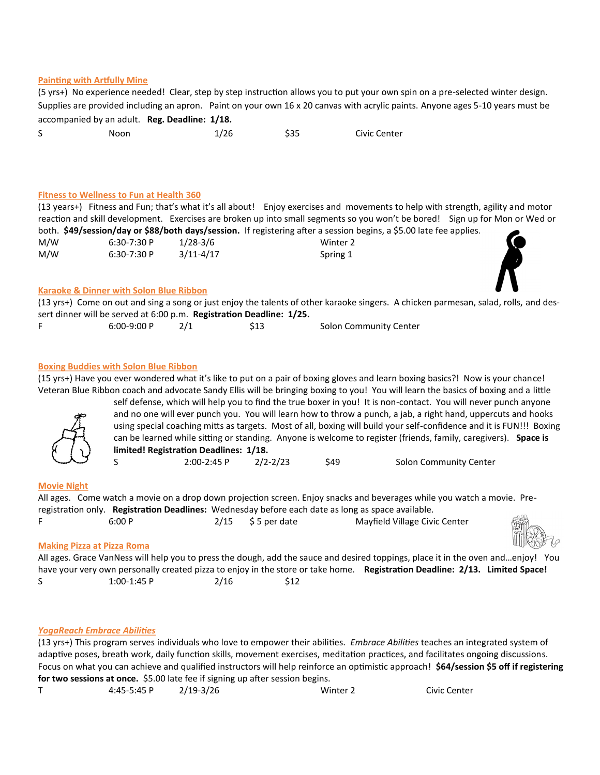#### **Painting with Artfully Mine**

(5 yrs+) No experience needed! Clear, step by step instruction allows you to put your own spin on a pre-selected winter design. Supplies are provided including an apron. Paint on your own 16 x 20 canvas with acrylic paints. Anyone ages 5-10 years must be accompanied by an adult. **Reg. Deadline: 1/18.**

| C | Noon | 1/26 | \$35 | Civic Center |
|---|------|------|------|--------------|
|   |      |      |      |              |

#### **Fitness to Wellness to Fun at Health 360**

|     |              |               | (13 years+) Fitness and Fun; that's what it's all about! Enjoy exercises and movements to help with strength, agility and motor |  |
|-----|--------------|---------------|---------------------------------------------------------------------------------------------------------------------------------|--|
|     |              |               | reaction and skill development. Exercises are broken up into small segments so you won't be bored! Sign up for Mon or Wed or    |  |
|     |              |               | both. \$49/session/day or \$88/both days/session. If registering after a session begins, a \$5.00 late fee applies.             |  |
| M/W | $6:30-7:30P$ | $1/28 - 3/6$  | Winter 2                                                                                                                        |  |
| M/W | $6:30-7:30P$ | $3/11 - 4/17$ | Spring 1                                                                                                                        |  |
|     |              |               |                                                                                                                                 |  |

#### **Karaoke & Dinner with Solon Blue Ribbon**

|                                                                      |  |  |  | (13 yrs+) Come on out and sing a song or just enjoy the talents of other karaoke singers. A chicken parmesan, salad, rolls, and des- |
|----------------------------------------------------------------------|--|--|--|--------------------------------------------------------------------------------------------------------------------------------------|
| sert dinner will be served at 6:00 p.m. Registration Deadline: 1/25. |  |  |  |                                                                                                                                      |
|                                                                      |  |  |  |                                                                                                                                      |

| $6:00-9:00P$ | \$13 | <b>Solon Community Center</b> |
|--------------|------|-------------------------------|
|              |      |                               |

#### **Boxing Buddies with Solon Blue Ribbon**

(15 yrs+) Have you ever wondered what it's like to put on a pair of boxing gloves and learn boxing basics?! Now is your chance! Veteran Blue Ribbon coach and advocate Sandy Ellis will be bringing boxing to you! You will learn the basics of boxing and a little

self defense, which will help you to find the true boxer in you! It is non-contact. You will never punch anyone and no one will ever punch you. You will learn how to throw a punch, a jab, a right hand, uppercuts and hooks using special coaching mitts as targets. Most of all, boxing will build your self-confidence and it is FUN!!! Boxing can be learned while sitting or standing. Anyone is welcome to register (friends, family, caregivers). **Space is limited! Registration Deadlines: 1/18.**  S 2:00-2:45 P 2/2-2/23 \$49 Solon Community Center

#### **Movie Night**

All ages. Come watch a movie on a drop down projection screen. Enjoy snacks and beverages while you watch a movie. Preregistration only. **Registration Deadlines:** Wednesday before each date as long as space available. F 6:00 P 2/15 \$ 5 per date Mayfield Village Civic Center

#### **Making Pizza at Pizza Roma**

|             |      |     | All ages. Grace VanNess will help you to press the dough, add the sauce and desired toppings, place it in the oven andenjoy! You |  |
|-------------|------|-----|----------------------------------------------------------------------------------------------------------------------------------|--|
|             |      |     | have your very own personally created pizza to enjoy in the store or take home. Registration Deadline: 2/13. Limited Space!      |  |
| 1:00-1:45 P | 2/16 | S12 |                                                                                                                                  |  |

#### *YogaReach Embrace Abilities*

(13 yrs+) This program serves individuals who love to empower their abilities. *Embrace Abilities* teaches an integrated system of adaptive poses, breath work, daily function skills, movement exercises, meditation practices, and facilitates ongoing discussions. Focus on what you can achieve and qualified instructors will help reinforce an optimistic approach! **\$64/session \$5 off if registering for two sessions at once.** \$5.00 late fee if signing up after session begins.

```
T 4:45-5:45 P 2/19-3/26 Winter 2 Civic Center
```